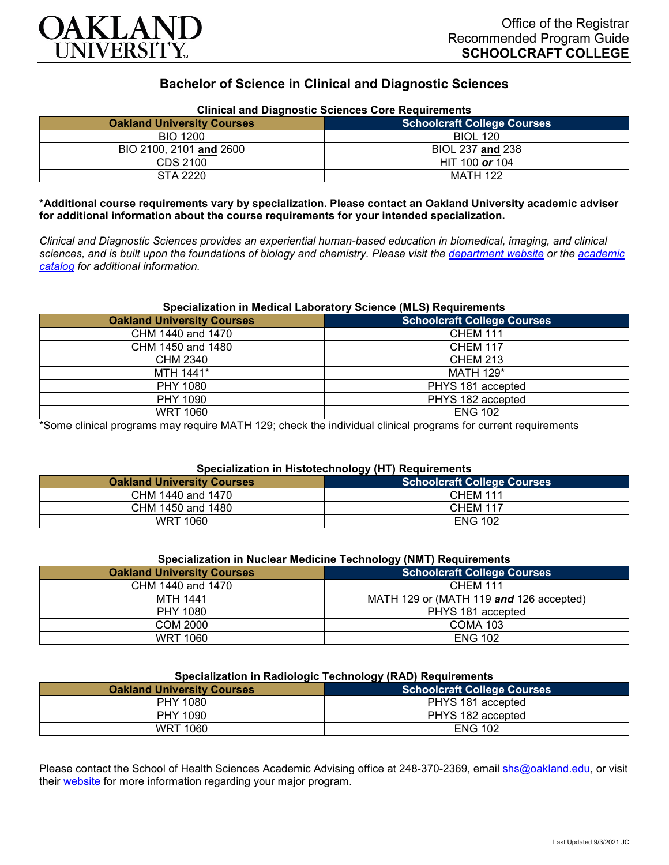

# **Bachelor of Science in Clinical and Diagnostic Sciences**

| Clinical and Diagnostic Sciences Core Requirements |                                    |  |
|----------------------------------------------------|------------------------------------|--|
| <b>Oakland University Courses</b>                  | <b>Schoolcraft College Courses</b> |  |
| BIO 1200                                           | <b>BIOL 120</b>                    |  |
| BIO 2100, 2101 and 2600                            | BIOL 237 and 238                   |  |
| CDS 2100                                           | HIT 100 or 104                     |  |
| STA 2220                                           | MATH 122                           |  |

## **Clinical and Diagnostic Sciences Core Requirements**

**\*Additional course requirements vary by specialization. Please contact an Oakland University academic adviser for additional information about the course requirements for your intended specialization.**

*Clinical and Diagnostic Sciences provides an experiential human-based education in biomedical, imaging, and clinical sciences, and is built upon the foundations of biology and chemistry. Please visit the [department website](https://www.oakland.edu/shs/clinical-and-diagnostic-sciences/) or the [academic](http://catalog.oakland.edu/preview_program.php?catoid=53&poid=8663)  [catalog](http://catalog.oakland.edu/preview_program.php?catoid=53&poid=8663) for additional information.*

#### **Specialization in Medical Laboratory Science (MLS) Requirements**

| <b>Oakland University Courses</b> | <b>Schoolcraft College Courses</b> |
|-----------------------------------|------------------------------------|
| CHM 1440 and 1470                 | <b>CHEM 111</b>                    |
| CHM 1450 and 1480                 | <b>CHEM 117</b>                    |
| <b>CHM 2340</b>                   | <b>CHEM 213</b>                    |
| MTH 1441*                         | <b>MATH 129*</b>                   |
| PHY 1080                          | PHYS 181 accepted                  |
| PHY 1090                          | PHYS 182 accepted                  |
| <b>WRT 1060</b>                   | <b>ENG 102</b>                     |

\*Some clinical programs may require MATH 129; check the individual clinical programs for current requirements

#### **Specialization in Histotechnology (HT) Requirements**

|                                   | . |                                    |
|-----------------------------------|---|------------------------------------|
| <b>Oakland University Courses</b> |   | <b>Schoolcraft College Courses</b> |
| CHM 1440 and 1470                 |   | <b>CHEM 111</b>                    |
| CHM 1450 and 1480                 |   | <b>CHEM 117</b>                    |
| <b>WRT 1060</b>                   |   | <b>ENG 102</b>                     |

| Specialization in Nuclear Medicine Technology (NMT) Requirements |                                         |
|------------------------------------------------------------------|-----------------------------------------|
| <b>Oakland University Courses</b>                                | <b>Schoolcraft College Courses</b>      |
| CHM 1440 and 1470                                                | <b>CHEM 111</b>                         |
| <b>MTH 1441</b>                                                  | MATH 129 or (MATH 119 and 126 accepted) |
| PHY 1080                                                         | PHYS 181 accepted                       |
| COM 2000                                                         | <b>COMA 103</b>                         |
| WRT 1060                                                         | <b>ENG 102</b>                          |

## **Specialization in Radiologic Technology (RAD) Requirements**

| <b>Oakland University Courses</b> | <b>Schoolcraft College Courses</b> |
|-----------------------------------|------------------------------------|
| PHY 1080                          | PHYS 181 accepted                  |
| PHY 1090                          | PHYS 182 accepted                  |
| WRT 1060                          | <b>ENG 102</b>                     |

Please contact the School of Health Sciences Academic Advising office at 248-370-2369, email [shs@oakland.edu,](mailto:shs@oakland.edu) or visit their [website](http://www.oakland.edu/shs/advising) for more information regarding your major program.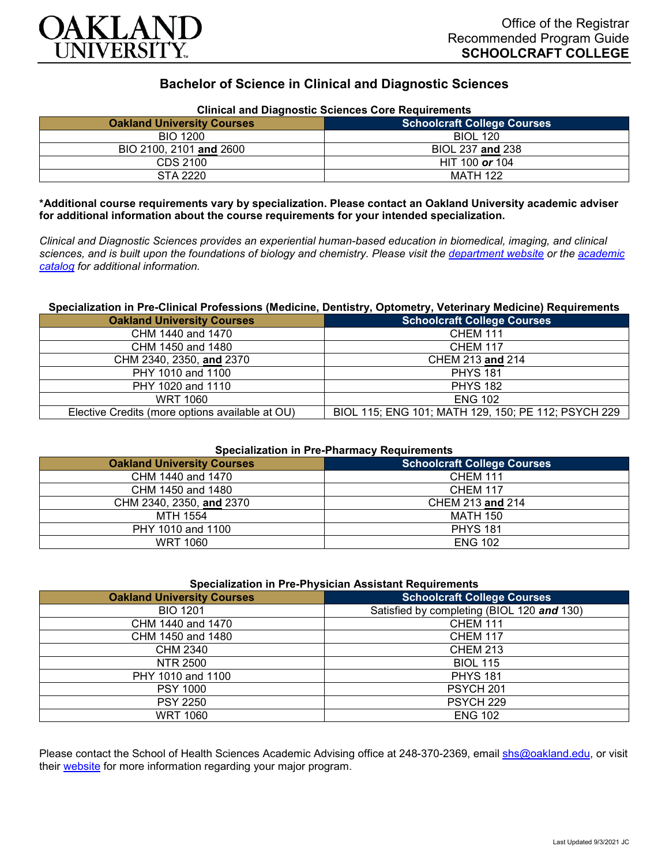

# **Bachelor of Science in Clinical and Diagnostic Sciences**

| Clinical and Diagnostic Sciences Core Requirements |                                    |  |
|----------------------------------------------------|------------------------------------|--|
| <b>Oakland University Courses</b>                  | <b>Schoolcraft College Courses</b> |  |
| BIO 1200                                           | <b>BIOL 120</b>                    |  |
| BIO 2100, 2101 and 2600                            | BIOL 237 and 238                   |  |
| CDS 2100                                           | HIT 100 or 104                     |  |
| STA 2220                                           | MATH 122                           |  |

**Clinical and Diagnostic Sciences Core Requirements**

**\*Additional course requirements vary by specialization. Please contact an Oakland University academic adviser for additional information about the course requirements for your intended specialization.**

*Clinical and Diagnostic Sciences provides an experiential human-based education in biomedical, imaging, and clinical sciences, and is built upon the foundations of biology and chemistry. Please visit the [department website](https://www.oakland.edu/shs/clinical-and-diagnostic-sciences/) or the [academic](http://catalog.oakland.edu/preview_program.php?catoid=53&poid=8663)  [catalog](http://catalog.oakland.edu/preview_program.php?catoid=53&poid=8663) for additional information.*

#### **Specialization in Pre-Clinical Professions (Medicine, Dentistry, Optometry, Veterinary Medicine) Requirements**

| <b>Oakland University Courses</b>               | <b>Schoolcraft College Courses</b>                  |
|-------------------------------------------------|-----------------------------------------------------|
| CHM 1440 and 1470                               | <b>CHEM 111</b>                                     |
| CHM 1450 and 1480                               | <b>CHEM 117</b>                                     |
| CHM 2340, 2350, and 2370                        | CHEM 213 and 214                                    |
| PHY 1010 and 1100                               | <b>PHYS 181</b>                                     |
| PHY 1020 and 1110                               | <b>PHYS 182</b>                                     |
| WRT 1060                                        | <b>ENG 102</b>                                      |
| Elective Credits (more options available at OU) | BIOL 115; ENG 101; MATH 129, 150; PE 112; PSYCH 229 |

### **Specialization in Pre-Pharmacy Requirements**

| <b>Oakland University Courses</b> | <b>Schoolcraft College Courses</b> |
|-----------------------------------|------------------------------------|
| CHM 1440 and 1470                 | <b>CHEM 111</b>                    |
| CHM 1450 and 1480                 | <b>CHEM 117</b>                    |
| CHM 2340, 2350, and 2370          | CHEM 213 and 214                   |
| MTH 1554                          | MATH 150                           |
| PHY 1010 and 1100                 | <b>PHYS 181</b>                    |
| <b>WRT 1060</b>                   | <b>ENG 102</b>                     |

| <b>Oakland University Courses</b> | <b>Schoolcraft College Courses</b>         |
|-----------------------------------|--------------------------------------------|
| <b>BIO 1201</b>                   | Satisfied by completing (BIOL 120 and 130) |
| CHM 1440 and 1470                 | <b>CHEM 111</b>                            |
| CHM 1450 and 1480                 | <b>CHEM 117</b>                            |
| CHM 2340                          | <b>CHEM 213</b>                            |
| NTR 2500                          | <b>BIOL 115</b>                            |
| PHY 1010 and 1100                 | <b>PHYS 181</b>                            |
| <b>PSY 1000</b>                   | PSYCH <sub>201</sub>                       |
| <b>PSY 2250</b>                   | PSYCH <sub>229</sub>                       |
| <b>WRT 1060</b>                   | <b>ENG 102</b>                             |

Please contact the School of Health Sciences Academic Advising office at 248-370-2369, email [shs@oakland.edu,](mailto:shs@oakland.edu) or visit their [website](http://www.oakland.edu/shs/advising) for more information regarding your major program.